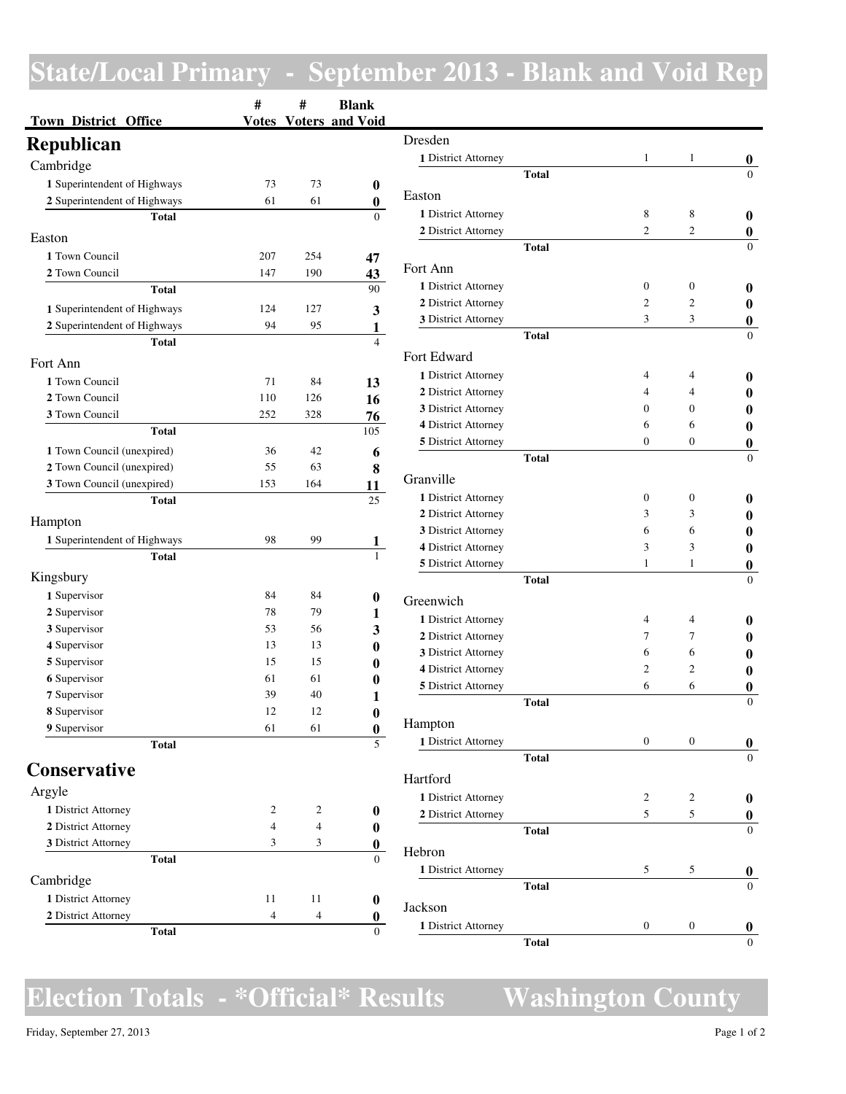## **State/Local Primary - September 2013 - Blank and Void Rep**

|                                   | #   | #   | <b>Blank</b>                 |
|-----------------------------------|-----|-----|------------------------------|
| <b>Town District Office</b>       |     |     | <b>Votes</b> Voters and Void |
| <b>Republican</b>                 |     |     |                              |
| Cambridge                         |     |     |                              |
| 1 Superintendent of Highways      | 73  | 73  | 0                            |
| 2 Superintendent of Highways      | 61  | 61  | 0                            |
| Total                             |     |     | $\theta$                     |
| Easton                            |     |     |                              |
| 1 Town Council                    | 207 | 254 | 47                           |
| 2 Town Council                    | 147 | 190 | 43                           |
| Total                             |     |     | 90                           |
| 1 Superintendent of Highways      | 124 | 127 | 3                            |
| 2 Superintendent of Highways      | 94  | 95  | 1                            |
| Total                             |     |     | 4                            |
| Fort Ann                          |     |     |                              |
| 1 Town Council                    | 71  | 84  | 13                           |
| 2 Town Council                    | 110 | 126 | 16                           |
| <b>3</b> Town Council             | 252 | 328 | 76                           |
| Total                             |     |     | 105                          |
| 1 Town Council (unexpired)        | 36  | 42  | 6                            |
| 2 Town Council (unexpired)        | 55  | 63  | 8                            |
| <b>3</b> Town Council (unexpired) | 153 | 164 | 11                           |
| Total                             |     |     | 25                           |
| Hampton                           |     |     |                              |
| 1 Superintendent of Highways      | 98  | 99  | 1                            |
| <b>Total</b>                      |     |     | 1                            |
| Kingsbury                         |     |     |                              |
| 1 Supervisor                      | 84  | 84  | 0                            |
| 2 Supervisor                      | 78  | 79  | 1                            |
| 3 Supervisor                      | 53  | 56  | 3                            |
| 4 Supervisor                      | 13  | 13  | 0                            |
| 5 Supervisor                      | 15  | 15  | 0                            |
| 6 Supervisor                      | 61  | 61  | 0                            |
| 7 Supervisor                      | 39  | 40  | 1                            |
| 8 Supervisor                      | 12  | 12  | 0                            |
| 9 Supervisor                      | 61  | 61  | $\boldsymbol{0}$             |
| <b>Total</b>                      |     |     | 5                            |
| <b>Conservative</b>               |     |     |                              |
| Argyle                            |     |     |                              |
| 1 District Attorney               | 2   | 2   | 0                            |
| 2 District Attorney               | 4   | 4   | 0                            |
| 3 District Attorney               | 3   | 3   | 0                            |
| Total                             |     |     | $\theta$                     |
| Cambridge                         |     |     |                              |
| 1 District Attorney               | 11  | 11  | 0                            |
| 2 District Attorney               | 4   | 4   | 0                            |
| Total                             |     |     | $\Omega$                     |

| Dresden                                    |              |                              |                         |                |
|--------------------------------------------|--------------|------------------------------|-------------------------|----------------|
| 1 District Attorney                        |              | 1                            | 1                       | 0              |
|                                            | <b>Total</b> |                              |                         |                |
| Easton                                     |              |                              |                         |                |
| 1 District Attorney                        |              | 8                            | 8                       | 0              |
| 2 District Attorney                        |              | $\overline{c}$               | $\overline{c}$          | 0              |
|                                            | <b>Total</b> |                              |                         | 0              |
| Fort Ann                                   |              |                              |                         |                |
| 1 District Attorney                        |              | $\mathbf{0}$                 | $\mathbf{0}$            | 0              |
| 2 District Attorney                        |              | 2                            | $\overline{c}$          | 0              |
| 3 District Attorney                        |              | 3                            | 3                       | 0              |
|                                            | <b>Total</b> |                              |                         | $\Omega$       |
| Fort Edward                                |              |                              |                         |                |
|                                            |              |                              |                         |                |
| 1 District Attorney                        |              | 4<br>$\overline{\mathbf{4}}$ | 4<br>4                  | 0              |
| 2 District Attorney<br>3 District Attorney |              | 0                            | 0                       | o              |
| 4 District Attorney                        |              | 6                            | 6                       | o              |
| 5 District Attorney                        |              | $\theta$                     | 0                       | 0              |
|                                            | <b>Total</b> |                              |                         | 0<br>0         |
|                                            |              |                              |                         |                |
| Granville                                  |              |                              |                         |                |
| 1 District Attorney                        |              | $\theta$                     | 0                       | 0              |
| 2 District Attorney                        |              | 3<br>6                       | 3<br>6                  | 0              |
| 3 District Attorney<br>4 District Attorney |              | 3                            | 3                       |                |
| <b>5</b> District Attorney                 |              | 1                            | 1                       | 0              |
|                                            | <b>Total</b> |                              |                         | 0<br>0         |
|                                            |              |                              |                         |                |
| Greenwich                                  |              |                              |                         |                |
| 1 District Attorney                        |              | $\overline{4}$               | 4                       | 0              |
| 2 District Attorney                        |              | 7                            | 7                       |                |
| 3 District Attorney                        |              | 6                            | 6                       |                |
| 4 District Attorney                        |              | $\overline{c}$<br>6          | $\overline{c}$<br>6     | 0              |
| 5 District Attorney                        | <b>Total</b> |                              |                         | 0<br>$\theta$  |
|                                            |              |                              |                         |                |
| Hampton                                    |              |                              |                         |                |
| 1 District Attorney                        |              | $\boldsymbol{0}$             | $\boldsymbol{0}$        | 0              |
|                                            | <b>Total</b> |                              |                         | $\overline{0}$ |
| Hartford                                   |              |                              |                         |                |
| 1 District Attorney                        |              | 2                            | $\overline{\mathbf{c}}$ | 0              |
| 2 District Attorney                        |              | 5                            | 5                       | 0              |
|                                            | <b>Total</b> |                              |                         | 0              |
| Hebron                                     |              |                              |                         |                |
| 1 District Attorney                        |              | 5                            | 5                       | 0              |
|                                            | <b>Total</b> |                              |                         | 0              |
| Jackson                                    |              |                              |                         |                |
| 1 District Attorney                        |              | $\boldsymbol{0}$             | $\boldsymbol{0}$        | 0              |
|                                            | <b>Total</b> |                              |                         | $\theta$       |

## **Election Totals - \*Official\* Results Washington County**